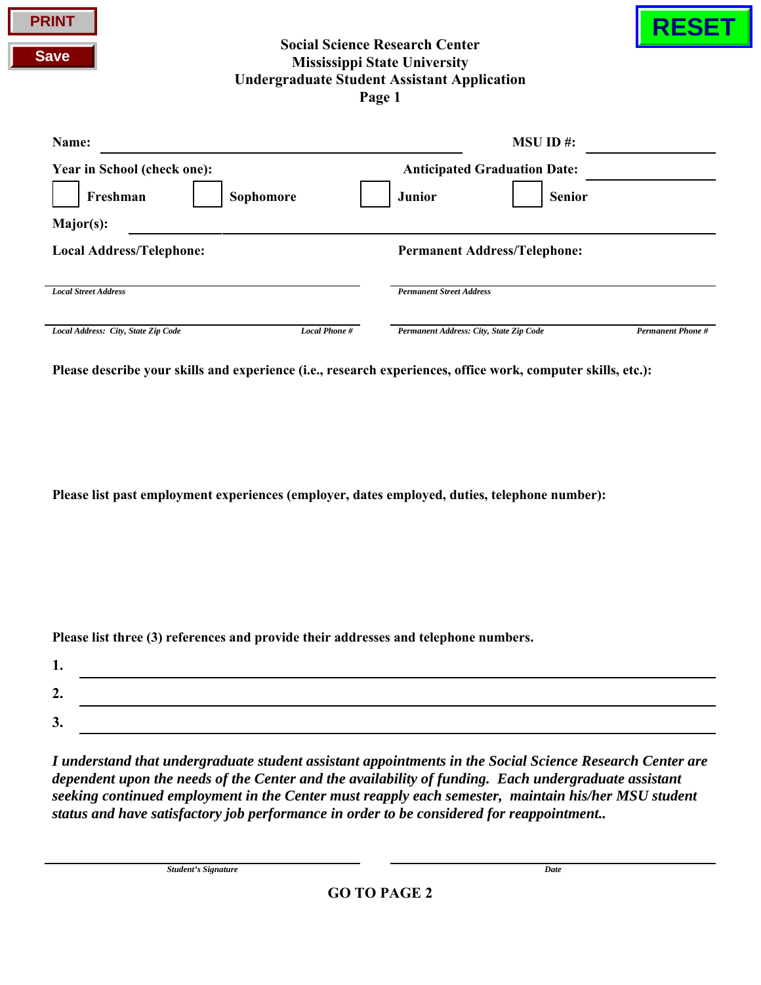| <b>PRINT</b><br><b>Save</b> |                             |           | <b>Social Science Research Center</b><br><b>Mississippi State University</b><br><b>Undergraduate Student Assistant Application</b><br>Page 1 |                                     |  |
|-----------------------------|-----------------------------|-----------|----------------------------------------------------------------------------------------------------------------------------------------------|-------------------------------------|--|
| Name:                       |                             |           |                                                                                                                                              | $MSU$ ID #:                         |  |
|                             | Year in School (check one): |           |                                                                                                                                              | <b>Anticipated Graduation Date:</b> |  |
|                             | Freshman                    | Sophomore | <b>Junior</b>                                                                                                                                | <b>Senior</b>                       |  |

| Major(s):                           |               |                                         |                          |  |
|-------------------------------------|---------------|-----------------------------------------|--------------------------|--|
| <b>Local Address/Telephone:</b>     |               | <b>Permanent Address/Telephone:</b>     |                          |  |
| <b>Local Street Address</b>         |               | <b>Permanent Street Address</b>         |                          |  |
| Local Address: City, State Zip Code | Local Phone # | Permanent Address: City, State Zip Code | <b>Permanent Phone #</b> |  |

**Please describe your skills and experience (i.e., research experiences, office work, computer skills, etc.):**

**Please list past employment experiences (employer, dates employed, duties, telephone number):**

**Please list three (3) references and provide their addresses and telephone numbers.**

| . . |  |
|-----|--|
| ∸.  |  |
| ◡.  |  |

*I understand that undergraduate student assistant appointments in the Social Science Research Center are dependent upon the needs of the Center and the availability of funding. Each undergraduate assistant seeking continued employment in the Center must reapply each semester, maintain his/her MSU student status and have satisfactory job performance in order to be considered for reappointment..* 

*Student's Signature Date*

**PRINT**